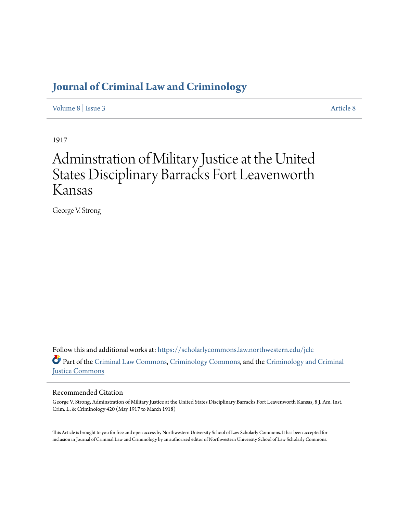## **[Journal of Criminal Law and Criminology](https://scholarlycommons.law.northwestern.edu/jclc?utm_source=scholarlycommons.law.northwestern.edu%2Fjclc%2Fvol8%2Fiss3%2F8&utm_medium=PDF&utm_campaign=PDFCoverPages)**

[Volume 8](https://scholarlycommons.law.northwestern.edu/jclc/vol8?utm_source=scholarlycommons.law.northwestern.edu%2Fjclc%2Fvol8%2Fiss3%2F8&utm_medium=PDF&utm_campaign=PDFCoverPages) | [Issue 3](https://scholarlycommons.law.northwestern.edu/jclc/vol8/iss3?utm_source=scholarlycommons.law.northwestern.edu%2Fjclc%2Fvol8%2Fiss3%2F8&utm_medium=PDF&utm_campaign=PDFCoverPages) [Article 8](https://scholarlycommons.law.northwestern.edu/jclc/vol8/iss3/8?utm_source=scholarlycommons.law.northwestern.edu%2Fjclc%2Fvol8%2Fiss3%2F8&utm_medium=PDF&utm_campaign=PDFCoverPages)

1917

# Adminstration of Military Justice at the United States Disciplinary Barracks Fort Leavenworth Kansas

George V. Strong

Follow this and additional works at: [https://scholarlycommons.law.northwestern.edu/jclc](https://scholarlycommons.law.northwestern.edu/jclc?utm_source=scholarlycommons.law.northwestern.edu%2Fjclc%2Fvol8%2Fiss3%2F8&utm_medium=PDF&utm_campaign=PDFCoverPages) Part of the [Criminal Law Commons](http://network.bepress.com/hgg/discipline/912?utm_source=scholarlycommons.law.northwestern.edu%2Fjclc%2Fvol8%2Fiss3%2F8&utm_medium=PDF&utm_campaign=PDFCoverPages), [Criminology Commons](http://network.bepress.com/hgg/discipline/417?utm_source=scholarlycommons.law.northwestern.edu%2Fjclc%2Fvol8%2Fiss3%2F8&utm_medium=PDF&utm_campaign=PDFCoverPages), and the [Criminology and Criminal](http://network.bepress.com/hgg/discipline/367?utm_source=scholarlycommons.law.northwestern.edu%2Fjclc%2Fvol8%2Fiss3%2F8&utm_medium=PDF&utm_campaign=PDFCoverPages) [Justice Commons](http://network.bepress.com/hgg/discipline/367?utm_source=scholarlycommons.law.northwestern.edu%2Fjclc%2Fvol8%2Fiss3%2F8&utm_medium=PDF&utm_campaign=PDFCoverPages)

#### Recommended Citation

George V. Strong, Adminstration of Military Justice at the United States Disciplinary Barracks Fort Leavenworth Kansas, 8 J. Am. Inst. Crim. L. & Criminology 420 (May 1917 to March 1918)

This Article is brought to you for free and open access by Northwestern University School of Law Scholarly Commons. It has been accepted for inclusion in Journal of Criminal Law and Criminology by an authorized editor of Northwestern University School of Law Scholarly Commons.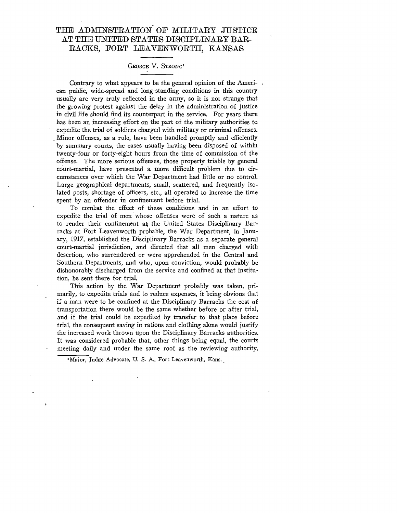### THE ADMINSTRATION OF MILITARY JUSTICE AT THE UNITED STATES DISCIPLINARY BAR-RACKS, FORT LEAVENWORTII, **KANSAS**

#### **GEORGE** V. **STRONG1**

Contrary to what appears to be the general opinion of the American public, wide-spread and long-standing conditions in this country usually are very truly reflected in the army, so it is not strange that the growing protest against the delay in the administration of justice in civil life should find its counterpart in the service. For years there has been an increasing effort on the part of the military authorities to expedite the trial of soldiers charged with military or criminal offenses. Minor offenses, as a rule, have been handled promptly and efficiently by summary courts, the cases usually having been disposed of within twenty-four or forty-eight hours from the time of commission of the offense. The more serious offenses, those properly triable by general court-martial, have presented a more difficult problem due to circumstances over which the War Department had little or no control. Large geographical departments, small, scattered, and frequently isolated posts, shortage of officers, etc., all operated to increase the time spent by an offender in confinement before trial.

To combat the effect of these conditions and in an effort to expedite the trial of men whose offenses were of such a nature as to render their confinement at the United States Disciplinary Barracks at Fort Leavenworth probable, the War Department, in January, 1917, established the Disciplinary Barracks as a separate general court-martial jurisdiction, and directed that all men charged with desertion, who surrendered or were apprehended in the Central and Southern Departments, and who, upon conviction, would probably be dishonorably discharged from the service and confined at that institution, be sent there for trial.

This action **by** the War Department probably was taken, primarily, to expedite trials and to reduce expenses, it being obvious that if a man were to be confined at the Disciplinary Barracks the cost of transportation there would be the same whether before or after trial, and if the trial could be expedited **by** transfer to that place before trial, the consequent saving in rations and clothing alone would justify the increased work thrown upon the Disciplinary Barracks authorities. It was considered probable that, other things being equal, the courts meeting daily and under the same roof as the reviewing authority,

<sup>&</sup>lt;sup>1</sup>Major, Judge Advocate, U. S. A., Fort Leavenworth, Kans.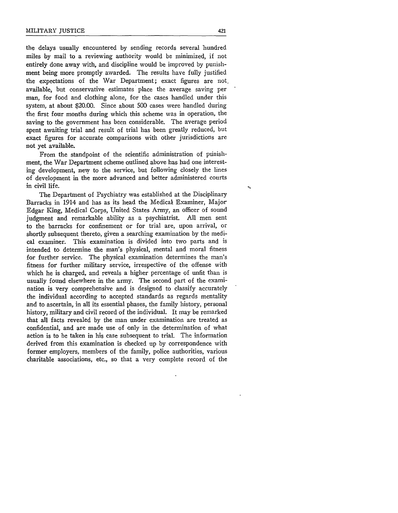the delays usually encountered **by** sending records several hundred miles **by** mail to a reviewing authority would be minimized, if not entirely done away with, and discipline would be improved **by** punishment being more promptly awarded. The results have fully justified the expectations of the War Department; exact figures are not. available, but conservative estimates place the average saving per man, for food and clothing alone, for the cases handled under this system, at about \$20.00. Since about **500** cases were handled during the first four months during which this scheme was in operation, the saving to the government has been considerable. The average period spent awaiting trial and result of trial has been greatly reduced, but exact figures for accurate comparisons with other jurisdictions are not yet available.

From the standpoint of the scientific administration of punishment, the War Department scheme outlined above has had one interesting development, **new** to the service, but following closely the lines of development in the more advanced and better administered courts in civil life.

The Department of Psychiatry was established at the Disciplinary Barracks in 1914 and has as its head the Medical Examiner, Major Edgar King, Medical Corps, United States Army, an officer of sound judgment and remarkable ability as a psychiatrist. **All** men sent to the barracks for confinement or for trial are, upon arrival, or shortly subsequent thereto, given a searching examination **by** the medical examiner. This examination is divided into two parts and is intended to determine the man's physical, mental and moral fitness for further service. The physical examination determines the man's fitness for further military service, irrespective of the offense with which he is charged, and reveals a higher percentage of unfit than is usually found elsewhere in the army. The second part of the examination is very comprehensive and is designed to classify accurately the individual according to accepted standards as regards mentality and to ascertain, in all its essential phases, the family history, personal history, military and civil record of the individual. It may be remarked that all facts revealed **by** the man under examination are treated as confidential, and are made use of only in the determination of what action is to be taken in his case subsequent to trial. The information derived from this examination is checked up **by** correspondence with former employers, members of the family, police authorities, various charitable associations, etc., so that a very complete record of the  $\sigma$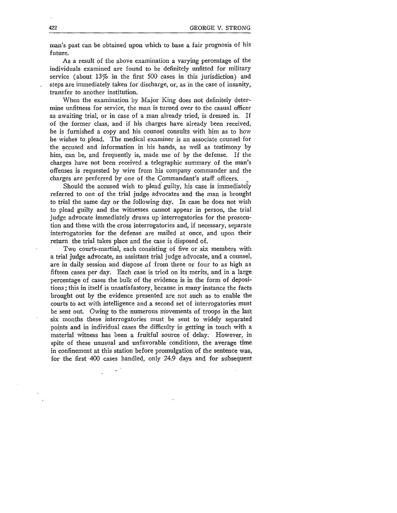man's past can be obtained upon which to base a fair prognosis of his future.

As a result of the above examination a varying percentage of the individuals examined are found to be definitely unfitted for military service (about 13% in the first 500 cases in this jurisdiction) and steps are immediately taken for discharge, or, as in the case of insanity, transfer to another institution.

When the examination by Major King does not definitely determine unfitness for service, the man is turned over to the casual officer as awaiting trial, or in case of a man already tried, is dressed in. If of the former class, and if his charges have already been received, he is furnished a copy and his counsel consults with him as to how he wishes to plead. The medical examiner is an associate counsel for the accused and information in his hands, as well as testimony by him, can be, and frequently is, made use of by the defense. If the charges have not been received a telegraphic summary of the man's offenses is requested by wire from his company commander and the charges are preferred by one of the Commandant's staff officers.

Should the accused wish to plead guilty, his case is immediately referred to one of the trial judge advocates and the man is brought to trial the same day or the following day. In case he does not wish to plead guilty and the witnesses cannot appear in person, the trial judge advocate immediately draws up'interrogatories for the prosecution and these with the cross interrogatories and, if necessary, separate interrogatories for the defense are mailed at once, and upon their return the trial takes place and the case is disposed of.

Two courts-martial, each consisting of five or six members with a trial judge advocate, an assistant trial judge advocate, and a counsel, are in daily session and dispose of from three or four to as high as fifteen cases per day. Each case is tried on its merits, and in a large percentage of cases the bulk of the evidence is in the form of depositions; this in itself is unsatisfastory, because in many instance the facts brought out by the evidence presented are not such as to enable the courts to act with intelligence and a second set of interrogatories must be sent out. Owing to the numerous movements of troops in the last six months these interrogatories must be sent to widely separated points and in individual cases the difficulty in getting in touch with a material witness has been a fruitful source of delay. However, in spite of these unusual and unfavorable conditions, the average time in confinement at this station before promulgation of the sentence was, for the first 400 cases handled, only 24.9 days and for subsequent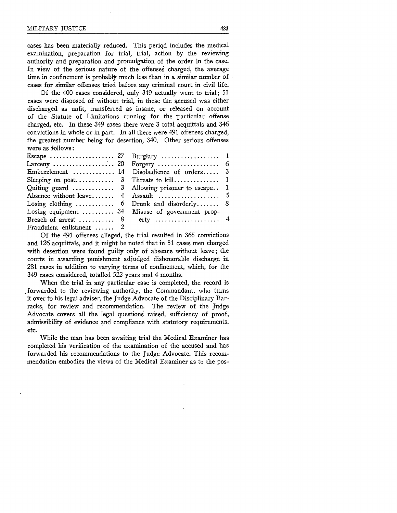cases has been materially reduced. This period includes the medical examination, preparation for trial, trial, action by the reviewing authority and preparation and promulgation of the order in the case. In view of the serious nature of the offenses charged, the average time in confinement is probably much less than in a similar number of  cases for similar offenses tried before any criminal court in civil life.

Of the 400 cases considered, only 349 actually went to trial; 51 cases were disposed of without trial, in these the accused was either discharged as unfit, transferred as insane, or released on account of the Statute of Limitations running for the particular offense charged, etc. In these 349 cases there were 3 total acquittals and 346 convictions in whole or in part. In all there were 491 offenses charged, the greatest number being for desertion, 340. Other serious offenses were as follows:

|                          | Embezzlement  14 Disobedience of orders 3       |  |
|--------------------------|-------------------------------------------------|--|
|                          |                                                 |  |
|                          | Quiting guard  3 Allowing prisoner to escape 1  |  |
|                          |                                                 |  |
|                          |                                                 |  |
|                          | Losing equipment  34 Misuse of government prop- |  |
|                          |                                                 |  |
| Fraudulent enlistment  2 |                                                 |  |

Of the 491 offenses alleged, the trial resulted in 365 convictions and 126 acquittals, and it might be noted that in 51 cases men charged with desertion were found guilty only of absence without leave; the courts in awarding punishment adjudged dishonorable discharge in 281 cases in addition to varying terms of confinement, which, for the 349 cases considered, totalled 522 years and 4 months.

When the trial in any particular case is completed, the record is forwarded to the reviewing authority, the Commandant, who turns it over to his legal adviser, the Judge Advocate of the Disciplinary Barracks, for review and recommendation. The review of the Judge Advocate covers all the legal questions raised, sufficiency of proof, admissibility of evidence and compliance with statutory requirements. etc.

While the man has been awaiting trial the Medical Examiner has completed his verification of the examination of the accused and has forwarded his recommendations to the Judge Advocate. This recommendation embodies the views of the Medical Examiner as to the pos-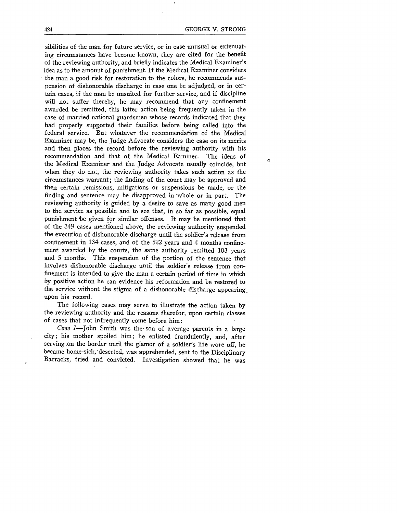$\circ$ 

sibilities of the man for future service, or in case unusual or extenuating circumstances have become known, they are cited for the benefit of the reviewing authority, and briefly indicates the Medical Examiner's idea as to the amount of punishment. If the Medical Examiner considers the man a good risk for restoration to the colors, he recommends suspension of dishonorable discharge in case one be adjudged, or in certain cases, if the man be unsuited for further service, and if discipline will not suffer thereby, he may recommend that any confinement awarded be remitted, this latter action being frequently taken in the case of married national guardsmen whose records indicated that they had properly supported their families before being called into the federal service. But whatever the recommendation of the Medical Examiner may be, the Judge Advocate considers the case on its merits and then places the record before the reviewing authority with his recommendation and that of the Medical Eaminer. The ideas of the Medical Examiner and the Judge Advocate usually coincide, but when they do not, the reviewing authority takes such action as the circumstances warrant; the finding of the court may be approved and then, certain remissions, mitigations or suspensions be made, or the finding and sentence may be disapproved in whole or in part. The reviewing authority is guided by a desire to save as many good men to the service as possible and to see that, in so far as possible, equal punishment be given for similar offenses. It may be mentioned that of the 349 cases mentioned above, the reviewing authority suspended the execution of dishonorable discharge until the soldier's release from confinement in 134 cases, and of the 522 years and 4 months confinement awarded by the courts, the same authority remitted 103 years and 5 months. This suspension of the portion of the sentence that involves dishonorable discharge until the soldier's -release from confinement is intended to give the man a certain period of time in which by positive action he can evidence his reformation and be restored to the service without the stigma of a dishonorable discharge appearing. upon his record.

The following cases may serve to illustrate the action taken by the reviewing authority and the reasons therefor, upon certain classes of cases that not infrequently come before him:

Case  $I$ —John Smith was the son of average parents in a large city; his mother spoiled him; he enlisted fraudulently, and, after serving .on the border until the glamor of a soldier's life wore off, he became home-sick, deserted, was apprehended, sent to the Disciplinary Barracks, tried and convicted. Investigation showed that he was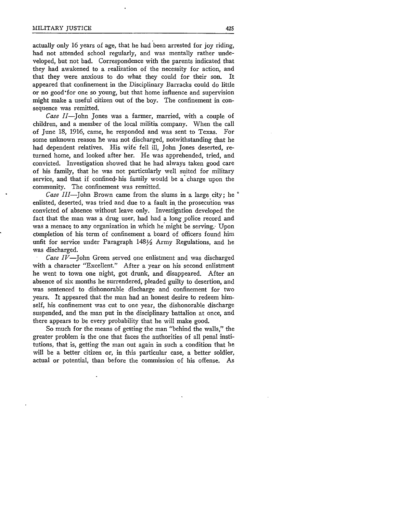actually only 16 years of age, that he had been arrested for joy riding, had not attended school regularly, and was mentally rather undeveloped, but not bad. Correspondence with the parents indicated that they had awakened to a realization of the necessity for action, and that they were anxious to do what they could for their son. It appeared that confinement in the Disciplinary Barracks could do little or no good'for one so young, but that home influence and supervision might make a useful citizen out of the boy. The confinement in consequence was remitted.

*Case* II-John Jones was a farmer, married, with a couple of children, and a member of the local militia company. When the call of June 18, 1916, came, he responded and was sent to Texas. For some unknown reason he was not discharged, notwithstanding that he had dependent relatives. His wife fell ill, John Jones deserted, returned home, and looked after her. He was apprehended, tried, and convicted. Investigation showed that he had always taken good care of his family, that he was not particularly well suited for military service, and that if confined- his family would be a charge upon the community. The confinement was remitted.

*Case III*—John Brown came from the slums in a large city; he  $\degree$ enlisted, deserted, was tried and due to a fault in the prosecution was convicted of absence without leave only. Investigation developed the fact that the man was a drug user, had had a long police record and was a menace to any organization in which he might be serving. Upon completion of his term of confinement a board of officers found him unfit for service under Paragraph  $148\frac{1}{2}$  Army Regulations, and he was discharged.

*Case* IV-John Green served one enlistment and was discharged with a character "Excellent." After a year on his second enlistment he went to town one night, got drunk, and disappeared. After an absence of six months he surrendered, pleaded guilty to desertion, and was sentenced to dishonorable discharge and confinement for two years. It appeared that the man had an honest desire to redeem himself, his confinement was cut to one year, the dishonorable discharge suspended, and the man put in the disciplinary battalion at once, and there appears to be every probability that he will make good.

So much for the means of getting the man "behind the walls," the greater problem is the one that faces the authorities of all penal institutions, that is, getting the man out again in such a condition that he will be a better citizen or, in this particular case, a better soldier, actual or potential, than before the commission of his offense. As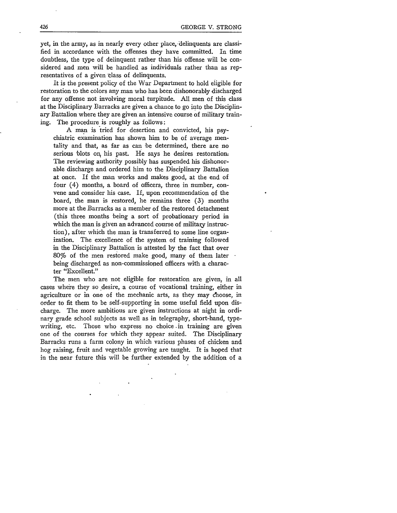yet, in the army, as in nearly every other place, delinquents are classified in accordance with the offenses they have committed. In time doubtless, the type of delinquent rather than his offense *will* be considered and men will be handled as individuals rather than as representatives of a given class of delinquents.

It is the present policy of the War Department to hold eligible for restoration to the colors any man who has been dishonorably discharged for any offense not involving moral turpitude. All men of this class at the Disciplinary Barracks are given a chance to go into the Disciplinary Battalion where they are given an intensive course of military training. The procedure is roughly as follows:

A man is tried for desertion and convicted, his psychiatric examination has shown him to be of average mentality and that, as far as can be determined, there are no serious 'blots on, his past. He says he desires restoration; The reviewing authority possibly has suspended his dishonorable discharge and ordered him to the Disciplinary Battalion at once. If the man works and makes good, at the end of four (4) months, a board of officers, three in number, convene and consider his case. If, upon recommendation of the board, the man is restored, he remains three (3) months more at the Barracks as a member of the restored detachment (this three months being a sort of probationary period in which the man is given an advanced course of military instruction), after which the man is transferred to some line organization. The excellence of the system of training followed in the Disciplinary Battalion is attested by the fact that over 80% of the men restored make good, many of them later being discharged as non-commissioned officers with a character "Excellent."

The men who are not eligible for restoration are given, in all cases where they so desire, a course of vocational training, either in agriculture or in one of the mechanic arts, as they may choose, in order to fit them to be self-supporting in some useful field upon discharge. The more ambitious are given instructions at night in ordinary grade school subjects as well as in telegraphy, short-hand, typewriting, etc. Those who express no choice in training are given one of the courses for which they appear suited. The Disciplinary Barracks runs a farm colony in which various phases of chicken and hog raising, fruit and vegetable growing are taught. It is hoped that in the near future this will be further extended by the addition of a